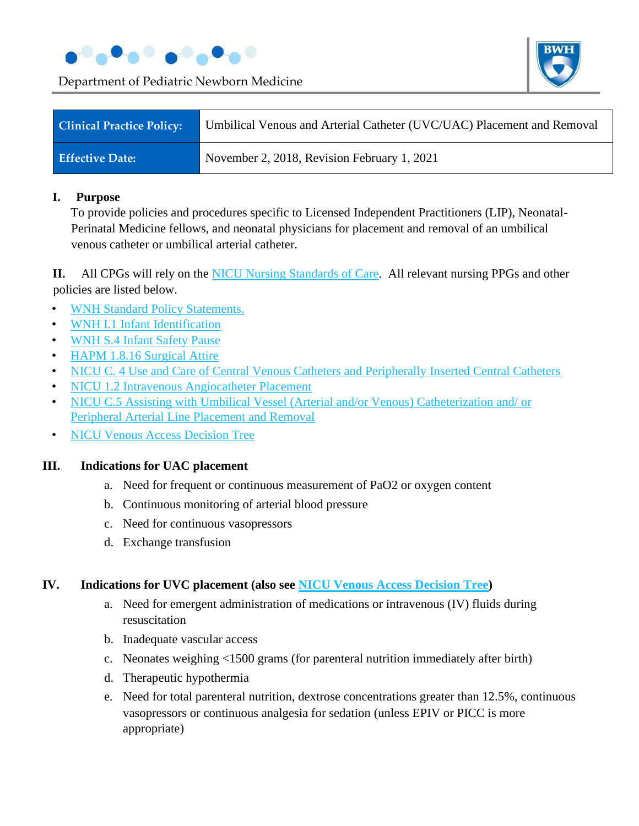



| <b>Clinical Practice Policy:</b> | Umbilical Venous and Arterial Catheter (UVC/UAC) Placement and Removal |
|----------------------------------|------------------------------------------------------------------------|
| <b>Effective Date:</b>           | November 2, 2018, Revision February 1, 2021                            |

### **I. Purpose**

To provide policies and procedures specific to Licensed Independent Practitioners (LIP), Neonatal-Perinatal Medicine fellows, and neonatal physicians for placement and removal of an umbilical venous catheter or umbilical arterial catheter.

**II.** All CPGs will rely on the NICU Nursing Standards of Care. All relevant nursing PPGs and other policies are listed below.

- WNH Standard Policy Statements.
- WNH I.1 Infant Identification
- WNH S.4 Infant Safety Pause
- HAPM 1.8.16 Surgical Attire
- NICU C. 4 Use and Care of Central Venous Catheters and Peripherally Inserted Central Catheters
- NICU 1.2 Intravenous Angiocatheter Placement
- NICU C.5 Assisting with Umbilical Vessel (Arterial and/or Venous) Catheterization and/or Peripheral Arterial Line Placement and Removal
- NICU Venous Access Decision Tree

### **III. Indications for UAC placement**

- a. Need for frequent or continuous measurement of PaO2 or oxygen content
- b. Continuous monitoring of arterial blood pressure
- c. Need for continuous vasopressors
- d. Exchange transfusion

## **IV. Indications for UVC placement (also see NICU Venous Access Decision Tree)**

- a. Need for emergent administration of medications or intravenous (IV) fluids during resuscitation
- b. Inadequate vascular access
- c. Neonates weighing <1500 grams (for parenteral nutrition immediately after birth)
- d. Therapeutic hypothermia
- e. Need for total parenteral nutrition, dextrose concentrations greater than 12.5%, continuous vasopressors or continuous analgesia for sedation (unless EPIV or PICC is more appropriate)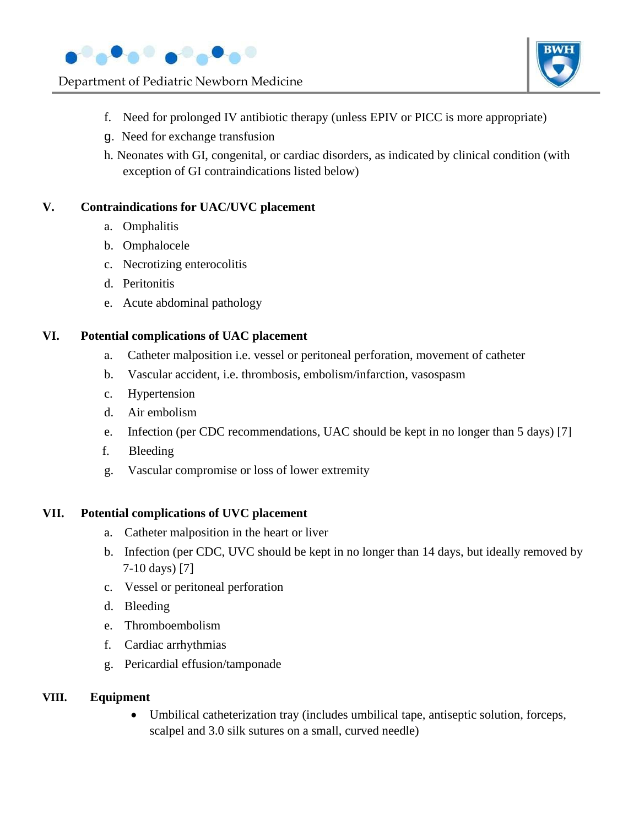



- f. Need for prolonged IV antibiotic therapy (unless EPIV or PICC is more appropriate)
- g. Need for exchange transfusion
- h. Neonates with GI, congenital, or cardiac disorders, as indicated by clinical condition (with exception of GI contraindications listed below)

## **V. Contraindications for UAC/UVC placement**

- a. Omphalitis
- b. Omphalocele
- c. Necrotizing enterocolitis
- d. Peritonitis
- e. Acute abdominal pathology

## **VI. Potential complications of UAC placement**

- a. Catheter malposition i.e. vessel or peritoneal perforation, movement of catheter
- b. Vascular accident, i.e. thrombosis, embolism/infarction, vasospasm
- c. Hypertension
- d. Air embolism
- e. Infection (per CDC recommendations, UAC should be kept in no longer than 5 days) [7]
- f. Bleeding
- g. Vascular compromise or loss of lower extremity

### **VII. Potential complications of UVC placement**

- a. Catheter malposition in the heart or liver
- b. Infection (per CDC, UVC should be kept in no longer than 14 days, but ideally removed by 7-10 days) [7]
- c. Vessel or peritoneal perforation
- d. Bleeding
- e. Thromboembolism
- f. Cardiac arrhythmias
- g. Pericardial effusion/tamponade

### **VIII. Equipment**

• Umbilical catheterization tray (includes umbilical tape, antiseptic solution, forceps, scalpel and 3.0 silk sutures on a small, curved needle)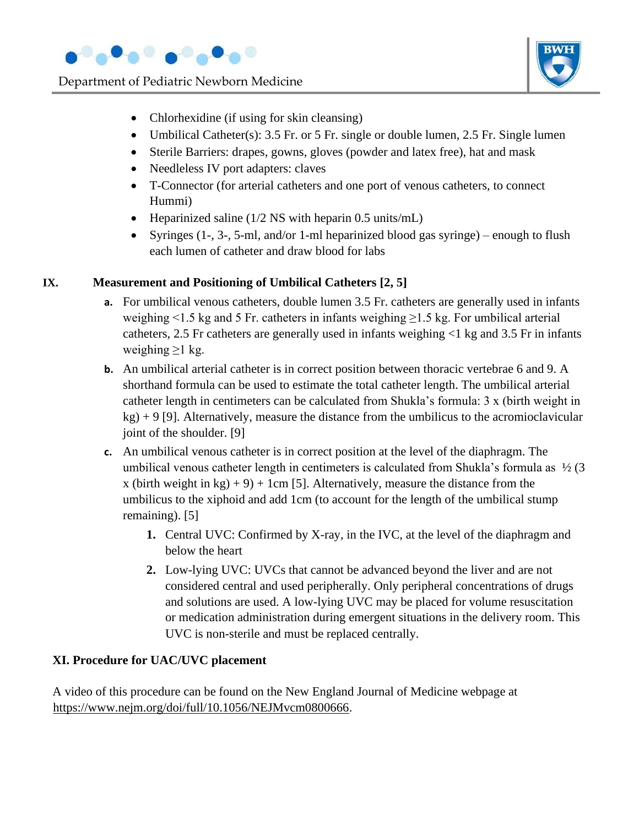



- Chlorhexidine (if using for skin cleansing)
- Umbilical Catheter(s): 3.5 Fr. or 5 Fr. single or double lumen, 2.5 Fr. Single lumen
- Sterile Barriers: drapes, gowns, gloves (powder and latex free), hat and mask
- Needleless IV port adapters: claves
- T-Connector (for arterial catheters and one port of venous catheters, to connect Hummi)
- Heparinized saline (1/2 NS with heparin 0.5 units/mL)
- Syringes (1-, 3-, 5-ml, and/or 1-ml heparinized blood gas syringe) enough to flush each lumen of catheter and draw blood for labs

## **IX. Measurement and Positioning of Umbilical Catheters [2, 5]**

- **a.** For umbilical venous catheters, double lumen 3.5 Fr. catheters are generally used in infants weighing  $\leq$ 1.5 kg and 5 Fr. catheters in infants weighing  $\geq$ 1.5 kg. For umbilical arterial catheters, 2.5 Fr catheters are generally used in infants weighing <1 kg and 3.5 Fr in infants weighing  $\geq 1$  kg.
- **b.** An umbilical arterial catheter is in correct position between thoracic vertebrae 6 and 9. A shorthand formula can be used to estimate the total catheter length. The umbilical arterial catheter length in centimeters can be calculated from Shukla's formula: 3 x (birth weight in  $kg$ ) + 9 [9]. Alternatively, measure the distance from the umbilicus to the acromioclavicular joint of the shoulder. [9]
- **c.** An umbilical venous catheter is in correct position at the level of the diaphragm. The umbilical venous catheter length in centimeters is calculated from Shukla's formula as  $\frac{1}{2}$  (3) x (birth weight in kg) + 9) + 1cm [5]. Alternatively, measure the distance from the umbilicus to the xiphoid and add 1cm (to account for the length of the umbilical stump remaining). [5]
	- **1.** Central UVC: Confirmed by X-ray, in the IVC, at the level of the diaphragm and below the heart
	- **2.** Low-lying UVC: UVCs that cannot be advanced beyond the liver and are not considered central and used peripherally. Only peripheral concentrations of drugs and solutions are used. A low-lying UVC may be placed for volume resuscitation or medication administration during emergent situations in the delivery room. This UVC is non-sterile and must be replaced centrally.

# **XI. Procedure for UAC/UVC placement**

A video of this procedure can be found on the New England Journal of Medicine webpage at https://www.nejm.org/doi/full/10.1056/NEJMvcm0800666.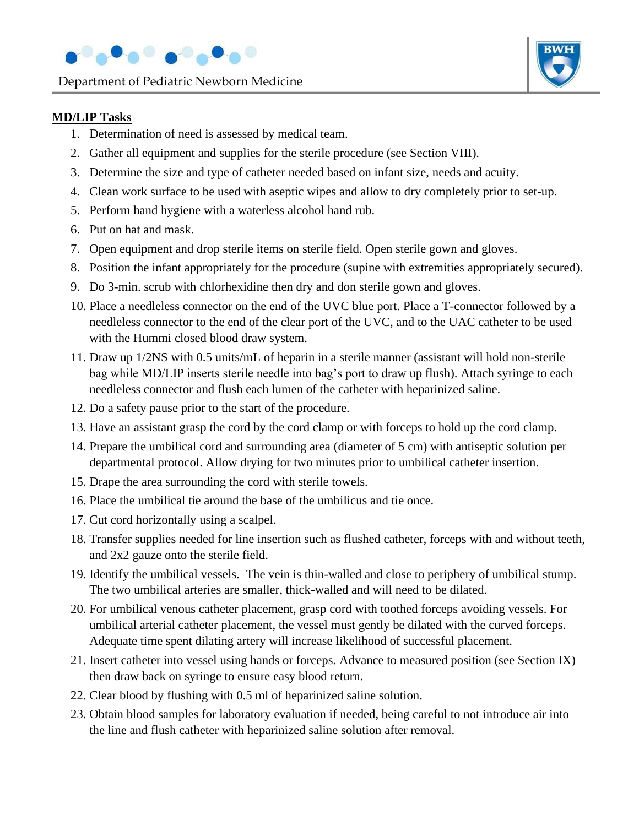



## **MD/LIP Tasks**

- 1. Determination of need is assessed by medical team.
- 2. Gather all equipment and supplies for the sterile procedure (see Section VIII).
- 3. Determine the size and type of catheter needed based on infant size, needs and acuity.
- 4. Clean work surface to be used with aseptic wipes and allow to dry completely prior to set-up.
- 5. Perform hand hygiene with a waterless alcohol hand rub.
- 6. Put on hat and mask.
- 7. Open equipment and drop sterile items on sterile field. Open sterile gown and gloves.
- 8. Position the infant appropriately for the procedure (supine with extremities appropriately secured).
- 9. Do 3-min. scrub with chlorhexidine then dry and don sterile gown and gloves.
- 10. Place a needleless connector on the end of the UVC blue port. Place a T-connector followed by a needleless connector to the end of the clear port of the UVC, and to the UAC catheter to be used with the Hummi closed blood draw system.
- 11. Draw up 1/2NS with 0.5 units/mL of heparin in a sterile manner (assistant will hold non-sterile bag while MD/LIP inserts sterile needle into bag's port to draw up flush). Attach syringe to each needleless connector and flush each lumen of the catheter with heparinized saline.
- 12. Do a safety pause prior to the start of the procedure.
- 13. Have an assistant grasp the cord by the cord clamp or with forceps to hold up the cord clamp.
- 14. Prepare the umbilical cord and surrounding area (diameter of 5 cm) with antiseptic solution per departmental protocol. Allow drying for two minutes prior to umbilical catheter insertion.
- 15. Drape the area surrounding the cord with sterile towels.
- 16. Place the umbilical tie around the base of the umbilicus and tie once.
- 17. Cut cord horizontally using a scalpel.
- 18. Transfer supplies needed for line insertion such as flushed catheter, forceps with and without teeth, and 2x2 gauze onto the sterile field.
- 19. Identify the umbilical vessels. The vein is thin-walled and close to periphery of umbilical stump. The two umbilical arteries are smaller, thick-walled and will need to be dilated.
- 20. For umbilical venous catheter placement, grasp cord with toothed forceps avoiding vessels. For umbilical arterial catheter placement, the vessel must gently be dilated with the curved forceps. Adequate time spent dilating artery will increase likelihood of successful placement.
- 21. Insert catheter into vessel using hands or forceps. Advance to measured position (see Section IX) then draw back on syringe to ensure easy blood return.
- 22. Clear blood by flushing with 0.5 ml of heparinized saline solution.
- 23. Obtain blood samples for laboratory evaluation if needed, being careful to not introduce air into the line and flush catheter with heparinized saline solution after removal.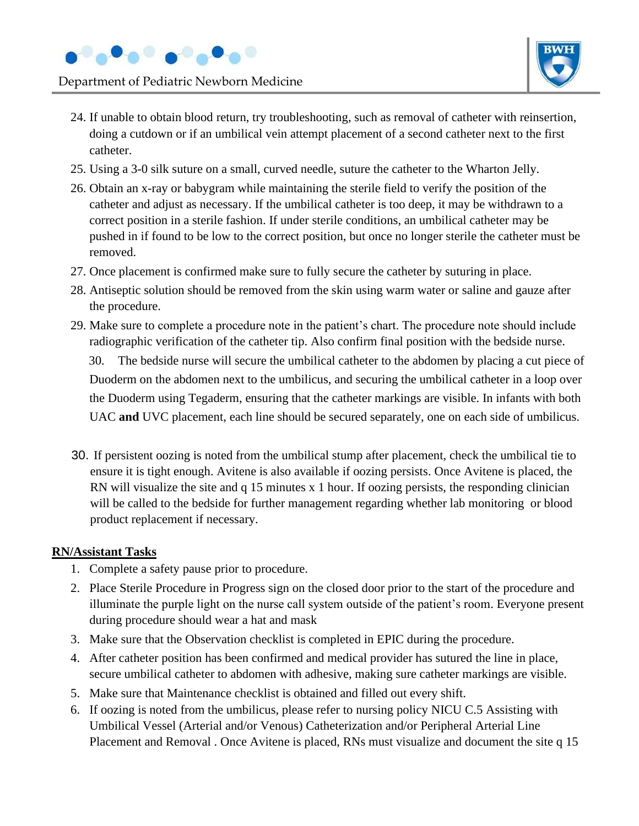



- 24. If unable to obtain blood return, try troubleshooting, such as removal of catheter with reinsertion, doing a cutdown or if an umbilical vein attempt placement of a second catheter next to the first catheter.
- 25. Using a 3-0 silk suture on a small, curved needle, suture the catheter to the Wharton Jelly.
- 26. Obtain an x-ray or babygram while maintaining the sterile field to verify the position of the catheter and adjust as necessary. If the umbilical catheter is too deep, it may be withdrawn to a correct position in a sterile fashion. If under sterile conditions, an umbilical catheter may be pushed in if found to be low to the correct position, but once no longer sterile the catheter must be removed.
- 27. Once placement is confirmed make sure to fully secure the catheter by suturing in place.
- 28. Antiseptic solution should be removed from the skin using warm water or saline and gauze after the procedure.
- 29. Make sure to complete a procedure note in the patient's chart. The procedure note should include radiographic verification of the catheter tip. Also confirm final position with the bedside nurse. 30. The bedside nurse will secure the umbilical catheter to the abdomen by placing a cut piece of Duoderm on the abdomen next to the umbilicus, and securing the umbilical catheter in a loop over the Duoderm using Tegaderm, ensuring that the catheter markings are visible. In infants with both UAC **and** UVC placement, each line should be secured separately, one on each side of umbilicus.
- 30. If persistent oozing is noted from the umbilical stump after placement, check the umbilical tie to ensure it is tight enough. Avitene is also available if oozing persists. Once Avitene is placed, the RN will visualize the site and q 15 minutes x 1 hour. If oozing persists, the responding clinician will be called to the bedside for further management regarding whether lab monitoring or blood product replacement if necessary.

### **RN/Assistant Tasks**

- 1. Complete a safety pause prior to procedure.
- 2. Place Sterile Procedure in Progress sign on the closed door prior to the start of the procedure and illuminate the purple light on the nurse call system outside of the patient's room. Everyone present during procedure should wear a hat and mask
- 3. Make sure that the Observation checklist is completed in EPIC during the procedure.
- 4. After catheter position has been confirmed and medical provider has sutured the line in place, secure umbilical catheter to abdomen with adhesive, making sure catheter markings are visible.
- 5. Make sure that Maintenance checklist is obtained and filled out every shift.
- 6. If oozing is noted from the umbilicus, please refer to nursing policy NICU C.5 Assisting with Umbilical Vessel (Arterial and/or Venous) Catheterization and/or Peripheral Arterial Line Placement and Removal . Once Avitene is placed, RNs must visualize and document the site q 15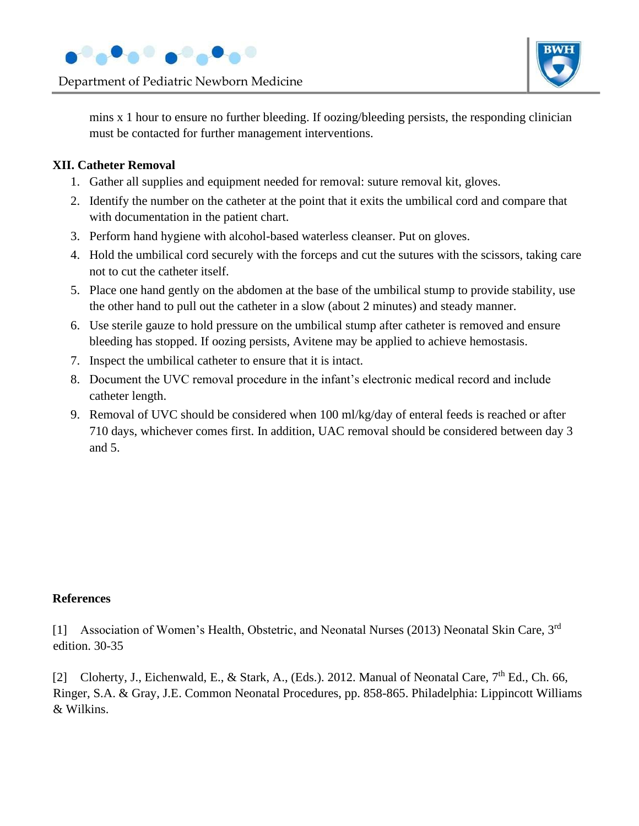



mins x 1 hour to ensure no further bleeding. If oozing/bleeding persists, the responding clinician must be contacted for further management interventions.

## **XII. Catheter Removal**

- 1. Gather all supplies and equipment needed for removal: suture removal kit, gloves.
- 2. Identify the number on the catheter at the point that it exits the umbilical cord and compare that with documentation in the patient chart.
- 3. Perform hand hygiene with alcohol-based waterless cleanser. Put on gloves.
- 4. Hold the umbilical cord securely with the forceps and cut the sutures with the scissors, taking care not to cut the catheter itself.
- 5. Place one hand gently on the abdomen at the base of the umbilical stump to provide stability, use the other hand to pull out the catheter in a slow (about 2 minutes) and steady manner.
- 6. Use sterile gauze to hold pressure on the umbilical stump after catheter is removed and ensure bleeding has stopped. If oozing persists, Avitene may be applied to achieve hemostasis.
- 7. Inspect the umbilical catheter to ensure that it is intact.
- 8. Document the UVC removal procedure in the infant's electronic medical record and include catheter length.
- 9. Removal of UVC should be considered when 100 ml/kg/day of enteral feeds is reached or after 710 days, whichever comes first. In addition, UAC removal should be considered between day 3 and 5.

## **References**

[1] Association of Women's Health, Obstetric, and Neonatal Nurses (2013) Neonatal Skin Care, 3rd edition. 30-35

[2] Cloherty, J., Eichenwald, E., & Stark, A., (Eds.). 2012. Manual of Neonatal Care,  $7<sup>th</sup>$  Ed., Ch. 66, Ringer, S.A. & Gray, J.E. Common Neonatal Procedures, pp. 858-865. Philadelphia: Lippincott Williams & Wilkins.